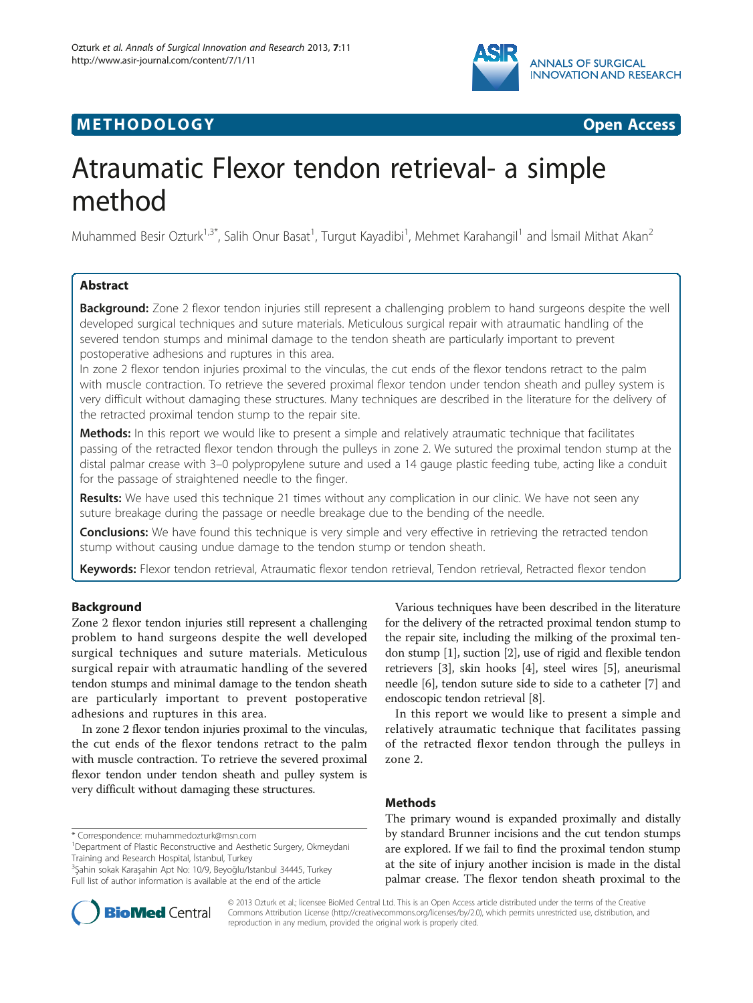

## **METHODOLOGY CONSUMING ACCESS**

# Atraumatic Flexor tendon retrieval- a simple method

Muhammed Besir Ozturk<sup>1,3\*</sup>, Salih Onur Basat<sup>1</sup>, Turgut Kayadibi<sup>1</sup>, Mehmet Karahangil<sup>1</sup> and İsmail Mithat Akan<sup>2</sup>

## Abstract

Background: Zone 2 flexor tendon injuries still represent a challenging problem to hand surgeons despite the well developed surgical techniques and suture materials. Meticulous surgical repair with atraumatic handling of the severed tendon stumps and minimal damage to the tendon sheath are particularly important to prevent postoperative adhesions and ruptures in this area.

In zone 2 flexor tendon injuries proximal to the vinculas, the cut ends of the flexor tendons retract to the palm with muscle contraction. To retrieve the severed proximal flexor tendon under tendon sheath and pulley system is very difficult without damaging these structures. Many techniques are described in the literature for the delivery of the retracted proximal tendon stump to the repair site.

Methods: In this report we would like to present a simple and relatively atraumatic technique that facilitates passing of the retracted flexor tendon through the pulleys in zone 2. We sutured the proximal tendon stump at the distal palmar crease with 3–0 polypropylene suture and used a 14 gauge plastic feeding tube, acting like a conduit for the passage of straightened needle to the finger.

Results: We have used this technique 21 times without any complication in our clinic. We have not seen any suture breakage during the passage or needle breakage due to the bending of the needle.

**Conclusions:** We have found this technique is very simple and very effective in retrieving the retracted tendon stump without causing undue damage to the tendon stump or tendon sheath.

Keywords: Flexor tendon retrieval, Atraumatic flexor tendon retrieval, Tendon retrieval, Retracted flexor tendon

## Background

Zone 2 flexor tendon injuries still represent a challenging problem to hand surgeons despite the well developed surgical techniques and suture materials. Meticulous surgical repair with atraumatic handling of the severed tendon stumps and minimal damage to the tendon sheath are particularly important to prevent postoperative adhesions and ruptures in this area.

In zone 2 flexor tendon injuries proximal to the vinculas, the cut ends of the flexor tendons retract to the palm with muscle contraction. To retrieve the severed proximal flexor tendon under tendon sheath and pulley system is very difficult without damaging these structures.

\* Correspondence: [muhammedozturk@msn.com](mailto:muhammedozturk@msn.com) <sup>1</sup>

Şahin sokak Karaşahin Apt No: 10/9, Beyoğlu/Istanbul 34445, Turkey Full list of author information is available at the end of the article



In this report we would like to present a simple and relatively atraumatic technique that facilitates passing of the retracted flexor tendon through the pulleys in zone 2.

## **Methods**

The primary wound is expanded proximally and distally by standard Brunner incisions and the cut tendon stumps are explored. If we fail to find the proximal tendon stump at the site of injury another incision is made in the distal palmar crease. The flexor tendon sheath proximal to the



© 2013 Ozturk et al.; licensee BioMed Central Ltd. This is an Open Access article distributed under the terms of the Creative Commons Attribution License [\(http://creativecommons.org/licenses/by/2.0\)](http://creativecommons.org/licenses/by/2.0), which permits unrestricted use, distribution, and reproduction in any medium, provided the original work is properly cited.

Department of Plastic Reconstructive and Aesthetic Surgery, Okmeydani Training and Research Hospital, <sup>İ</sup>stanbul, Turkey <sup>3</sup>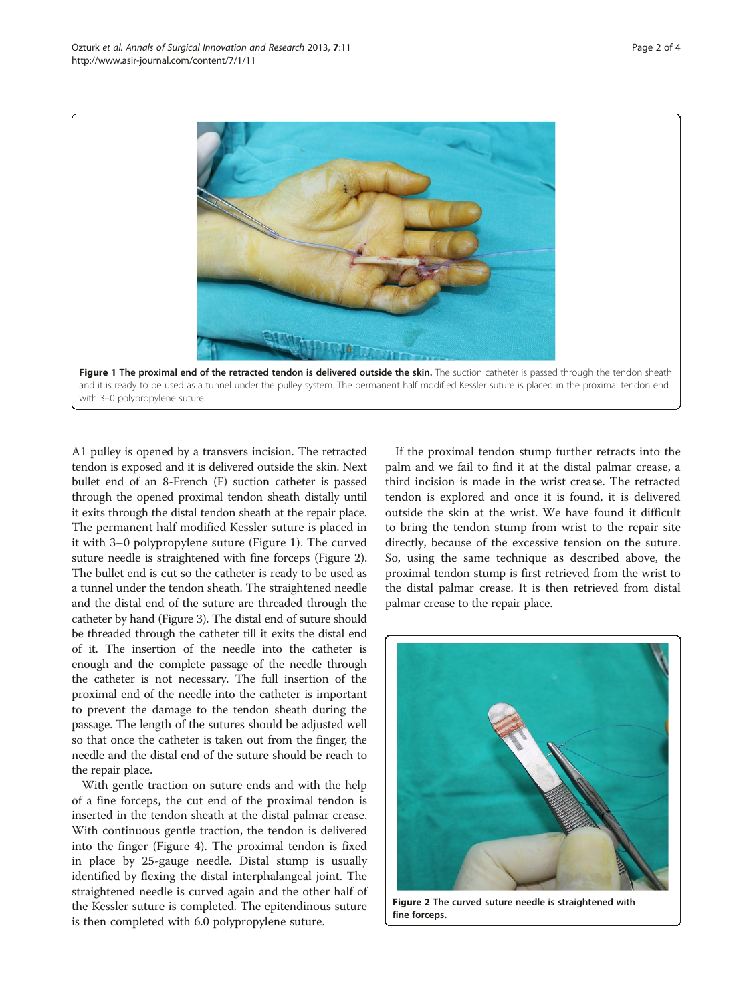

A1 pulley is opened by a transvers incision. The retracted tendon is exposed and it is delivered outside the skin. Next bullet end of an 8-French (F) suction catheter is passed through the opened proximal tendon sheath distally until it exits through the distal tendon sheath at the repair place. The permanent half modified Kessler suture is placed in it with 3–0 polypropylene suture (Figure 1). The curved suture needle is straightened with fine forceps (Figure 2). The bullet end is cut so the catheter is ready to be used as a tunnel under the tendon sheath. The straightened needle and the distal end of the suture are threaded through the catheter by hand (Figure [3](#page-2-0)). The distal end of suture should be threaded through the catheter till it exits the distal end of it. The insertion of the needle into the catheter is enough and the complete passage of the needle through the catheter is not necessary. The full insertion of the proximal end of the needle into the catheter is important to prevent the damage to the tendon sheath during the passage. The length of the sutures should be adjusted well so that once the catheter is taken out from the finger, the needle and the distal end of the suture should be reach to the repair place.

With gentle traction on suture ends and with the help of a fine forceps, the cut end of the proximal tendon is inserted in the tendon sheath at the distal palmar crease. With continuous gentle traction, the tendon is delivered into the finger (Figure [4\)](#page-2-0). The proximal tendon is fixed in place by 25-gauge needle. Distal stump is usually identified by flexing the distal interphalangeal joint. The straightened needle is curved again and the other half of the Kessler suture is completed. The epitendinous suture is then completed with 6.0 polypropylene suture.

If the proximal tendon stump further retracts into the palm and we fail to find it at the distal palmar crease, a third incision is made in the wrist crease. The retracted tendon is explored and once it is found, it is delivered outside the skin at the wrist. We have found it difficult to bring the tendon stump from wrist to the repair site directly, because of the excessive tension on the suture. So, using the same technique as described above, the proximal tendon stump is first retrieved from the wrist to the distal palmar crease. It is then retrieved from distal palmar crease to the repair place.



Figure 2 The curved suture needle is straightened with fine forceps.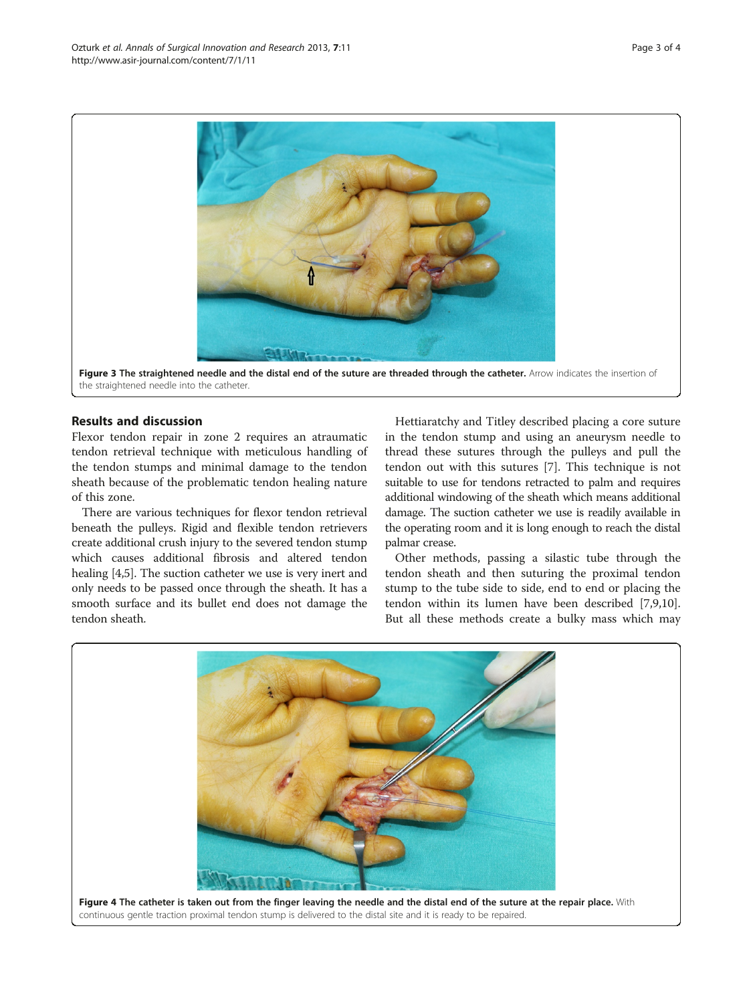<span id="page-2-0"></span>

## Results and discussion

Flexor tendon repair in zone 2 requires an atraumatic tendon retrieval technique with meticulous handling of the tendon stumps and minimal damage to the tendon sheath because of the problematic tendon healing nature of this zone.

There are various techniques for flexor tendon retrieval beneath the pulleys. Rigid and flexible tendon retrievers create additional crush injury to the severed tendon stump which causes additional fibrosis and altered tendon healing [\[4,5\]](#page-3-0). The suction catheter we use is very inert and only needs to be passed once through the sheath. It has a smooth surface and its bullet end does not damage the tendon sheath.

Hettiaratchy and Titley described placing a core suture in the tendon stump and using an aneurysm needle to thread these sutures through the pulleys and pull the tendon out with this sutures [\[7](#page-3-0)]. This technique is not suitable to use for tendons retracted to palm and requires additional windowing of the sheath which means additional damage. The suction catheter we use is readily available in the operating room and it is long enough to reach the distal palmar crease.

Other methods, passing a silastic tube through the tendon sheath and then suturing the proximal tendon stump to the tube side to side, end to end or placing the tendon within its lumen have been described [\[7,9,10](#page-3-0)]. But all these methods create a bulky mass which may